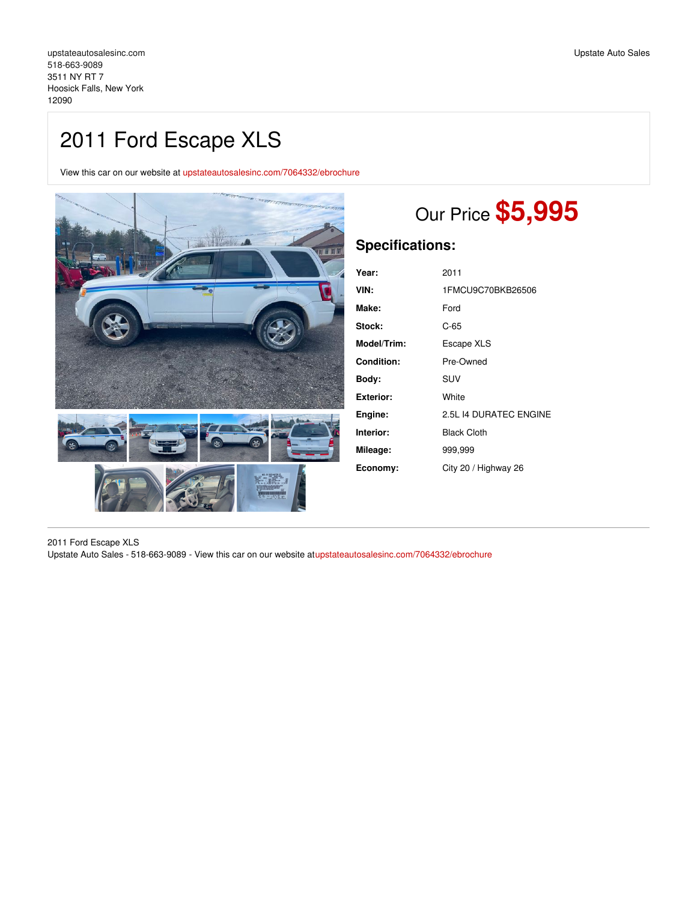# 2011 Ford Escape XLS

View this car on our website at [upstateautosalesinc.com/7064332/ebrochure](https://upstateautosalesinc.com/vehicle/7064332/2011-ford-escape-xls-hoosick-falls-new-york-12090/7064332/ebrochure)



# Our Price **\$5,995**

# **Specifications:**

| Year:       | 2011                   |
|-------------|------------------------|
| VIN:        | 1FMCU9C70BKB26506      |
| Make:       | Ford                   |
| Stock:      | $C-65$                 |
| Model/Trim: | Escape XLS             |
| Condition:  | Pre-Owned              |
| Bodv:       | SUV                    |
| Exterior:   | White                  |
| Engine:     | 2.5L 14 DURATEC ENGINE |
| Interior:   | <b>Black Cloth</b>     |
| Mileage:    | 999,999                |
| Economy:    | City 20 / Highway 26   |

2011 Ford Escape XLS Upstate Auto Sales - 518-663-9089 - View this car on our website a[tupstateautosalesinc.com/7064332/ebrochure](https://upstateautosalesinc.com/vehicle/7064332/2011-ford-escape-xls-hoosick-falls-new-york-12090/7064332/ebrochure)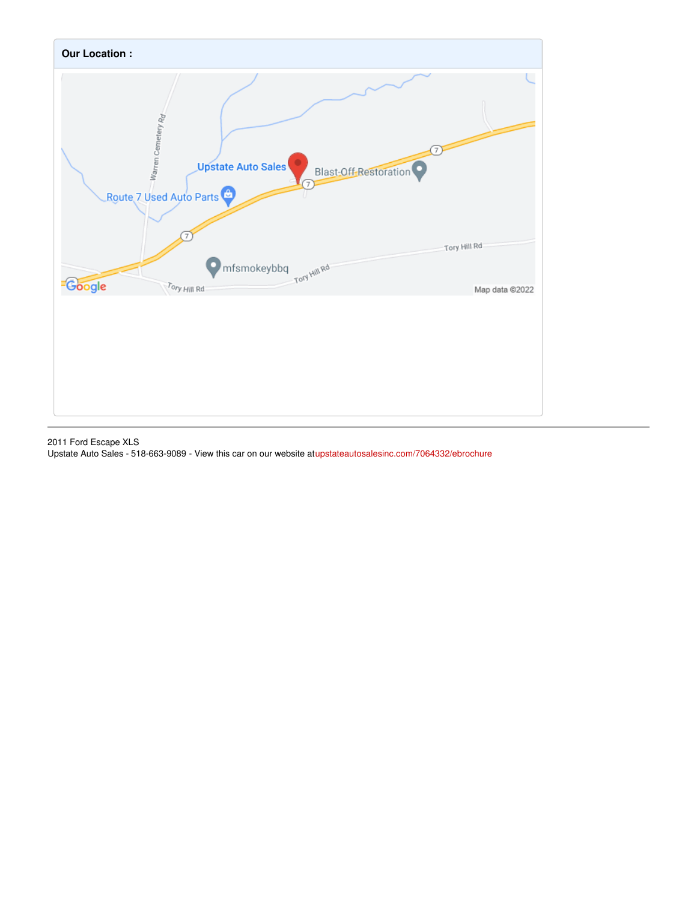

2011 Ford Escape XLS Upstate Auto Sales - 518-663-9089 - View this car on our website a[tupstateautosalesinc.com/7064332/ebrochure](https://upstateautosalesinc.com/vehicle/7064332/2011-ford-escape-xls-hoosick-falls-new-york-12090/7064332/ebrochure)